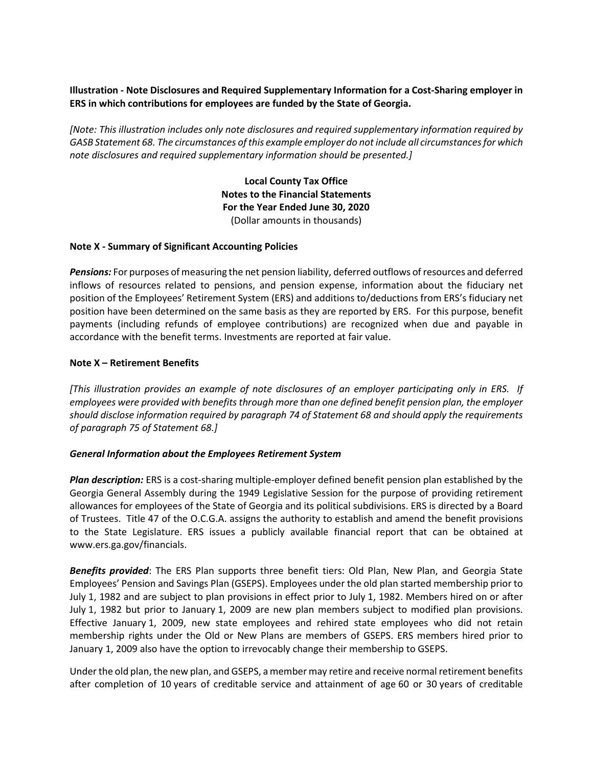# **Illustration - Note Disclosures and Required Supplementary Information for a Cost-Sharing employer in ERS in which contributions for employees are funded by the State of Georgia.**

*[Note: This illustration includes only note disclosures and required supplementary information required by GASB Statement 68. The circumstances of this example employer do not include all circumstances for which note disclosures and required supplementary information should be presented.]*

> **Local County Tax Office Notes to the Financial Statements For the Year Ended June 30, 2020** (Dollar amounts in thousands)

### **Note X - Summary of Significant Accounting Policies**

*Pensions:* For purposes of measuring the net pension liability, deferred outflows of resources and deferred inflows of resources related to pensions, and pension expense, information about the fiduciary net position of the Employees' Retirement System (ERS) and additions to/deductions from ERS's fiduciary net position have been determined on the same basis as they are reported by ERS. For this purpose, benefit payments (including refunds of employee contributions) are recognized when due and payable in accordance with the benefit terms. Investments are reported at fair value.

### **Note X – Retirement Benefits**

*[This illustration provides an example of note disclosures of an employer participating only in ERS. If employees were provided with benefits through more than one defined benefit pension plan, the employer should disclose information required by paragraph 74 of Statement 68 and should apply the requirements of paragraph 75 of Statement 68.]*

### *General Information about the Employees Retirement System*

*Plan description:* ERS is a cost-sharing multiple-employer defined benefit pension plan established by the Georgia General Assembly during the 1949 Legislative Session for the purpose of providing retirement allowances for employees of the State of Georgia and its political subdivisions. ERS is directed by a Board of Trustees. Title 47 of the O.C.G.A. assigns the authority to establish and amend the benefit provisions to the State Legislature. ERS issues a publicly available financial report that can be obtained at www.ers.ga.gov/financials.

*Benefits provided*: The ERS Plan supports three benefit tiers: Old Plan, New Plan, and Georgia State Employees' Pension and Savings Plan (GSEPS). Employees under the old plan started membership prior to July 1, 1982 and are subject to plan provisions in effect prior to July 1, 1982. Members hired on or after July 1, 1982 but prior to January 1, 2009 are new plan members subject to modified plan provisions. Effective January 1, 2009, new state employees and rehired state employees who did not retain membership rights under the Old or New Plans are members of GSEPS. ERS members hired prior to January 1, 2009 also have the option to irrevocably change their membership to GSEPS.

Under the old plan, the new plan, and GSEPS, a member may retire and receive normal retirement benefits after completion of 10 years of creditable service and attainment of age 60 or 30 years of creditable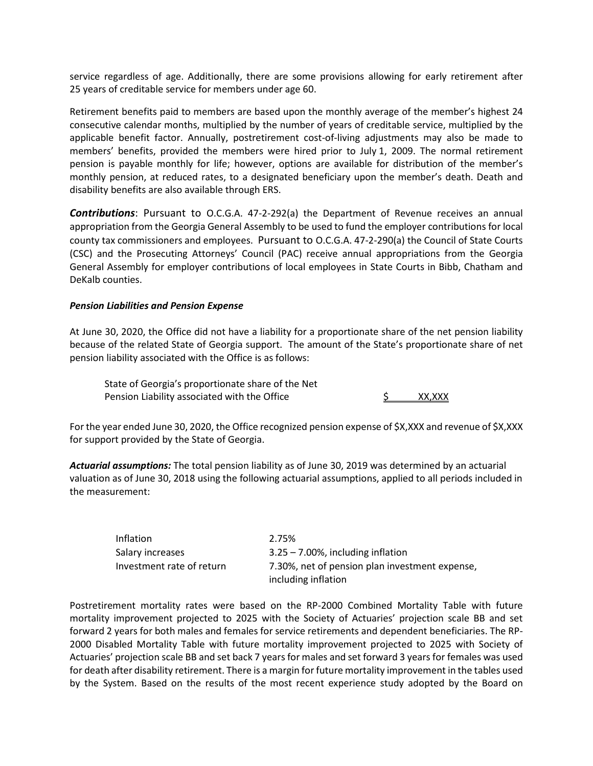service regardless of age. Additionally, there are some provisions allowing for early retirement after 25 years of creditable service for members under age 60.

Retirement benefits paid to members are based upon the monthly average of the member's highest 24 consecutive calendar months, multiplied by the number of years of creditable service, multiplied by the applicable benefit factor. Annually, postretirement cost-of-living adjustments may also be made to members' benefits, provided the members were hired prior to July 1, 2009. The normal retirement pension is payable monthly for life; however, options are available for distribution of the member's monthly pension, at reduced rates, to a designated beneficiary upon the member's death. Death and disability benefits are also available through ERS.

*Contributions*: Pursuant to O.C.G.A. 47-2-292(a) the Department of Revenue receives an annual appropriation from the Georgia General Assembly to be used to fund the employer contributions for local county tax commissioners and employees. Pursuant to O.C.G.A. 47-2-290(a) the Council of State Courts (CSC) and the Prosecuting Attorneys' Council (PAC) receive annual appropriations from the Georgia General Assembly for employer contributions of local employees in State Courts in Bibb, Chatham and DeKalb counties.

### *Pension Liabilities and Pension Expense*

At June 30, 2020, the Office did not have a liability for a proportionate share of the net pension liability because of the related State of Georgia support. The amount of the State's proportionate share of net pension liability associated with the Office is as follows:

State of Georgia's proportionate share of the Net Pension Liability associated with the Office  $\frac{1}{2}$  XX,XXX

For the year ended June 30, 2020, the Office recognized pension expense of \$X,XXX and revenue of \$X,XXX for support provided by the State of Georgia.

*Actuarial assumptions:* The total pension liability as of June 30, 2019 was determined by an actuarial valuation as of June 30, 2018 using the following actuarial assumptions, applied to all periods included in the measurement:

| Inflation                 | 2.75%                                          |
|---------------------------|------------------------------------------------|
| Salary increases          | $3.25 - 7.00\%$ , including inflation          |
| Investment rate of return | 7.30%, net of pension plan investment expense, |
|                           | including inflation                            |

Postretirement mortality rates were based on the RP-2000 Combined Mortality Table with future mortality improvement projected to 2025 with the Society of Actuaries' projection scale BB and set forward 2 years for both males and females for service retirements and dependent beneficiaries. The RP-2000 Disabled Mortality Table with future mortality improvement projected to 2025 with Society of Actuaries' projection scale BB and set back 7 years for males and set forward 3 years for females was used for death after disability retirement. There is a margin for future mortality improvement in the tables used by the System. Based on the results of the most recent experience study adopted by the Board on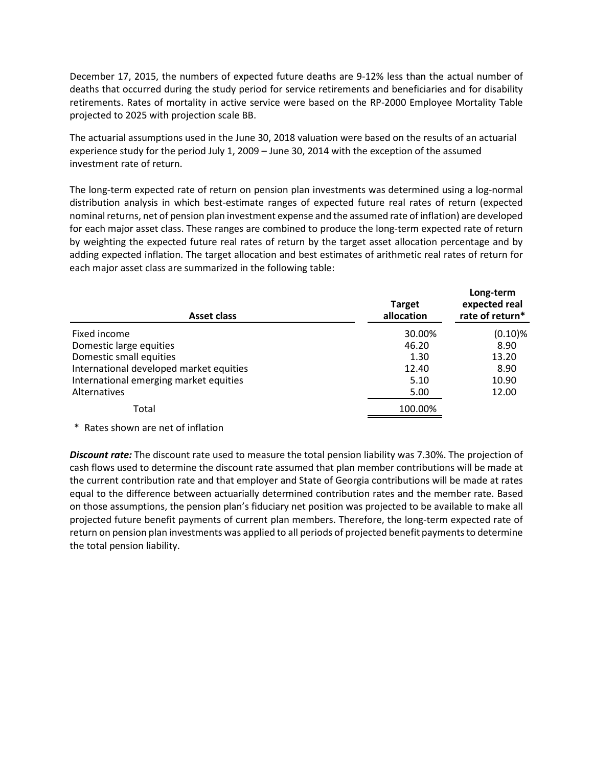December 17, 2015, the numbers of expected future deaths are 9-12% less than the actual number of deaths that occurred during the study period for service retirements and beneficiaries and for disability retirements. Rates of mortality in active service were based on the RP-2000 Employee Mortality Table projected to 2025 with projection scale BB.

The actuarial assumptions used in the June 30, 2018 valuation were based on the results of an actuarial experience study for the period July 1, 2009 – June 30, 2014 with the exception of the assumed investment rate of return.

The long-term expected rate of return on pension plan investments was determined using a log-normal distribution analysis in which best-estimate ranges of expected future real rates of return (expected nominal returns, net of pension plan investment expense and the assumed rate of inflation) are developed for each major asset class. These ranges are combined to produce the long-term expected rate of return by weighting the expected future real rates of return by the target asset allocation percentage and by adding expected inflation. The target allocation and best estimates of arithmetic real rates of return for each major asset class are summarized in the following table:

| <b>Asset class</b>                      | <b>Target</b><br>allocation | Long-term<br>expected real<br>rate of return* |
|-----------------------------------------|-----------------------------|-----------------------------------------------|
| Fixed income                            | 30.00%                      | $(0.10)\%$                                    |
| Domestic large equities                 | 46.20                       | 8.90                                          |
| Domestic small equities                 | 1.30                        | 13.20                                         |
| International developed market equities | 12.40                       | 8.90                                          |
| International emerging market equities  | 5.10                        | 10.90                                         |
| <b>Alternatives</b>                     | 5.00                        | 12.00                                         |
| Total                                   | 100.00%                     |                                               |

#### \* Rates shown are net of inflation

*Discount rate:* The discount rate used to measure the total pension liability was 7.30%. The projection of cash flows used to determine the discount rate assumed that plan member contributions will be made at the current contribution rate and that employer and State of Georgia contributions will be made at rates equal to the difference between actuarially determined contribution rates and the member rate. Based on those assumptions, the pension plan's fiduciary net position was projected to be available to make all projected future benefit payments of current plan members. Therefore, the long-term expected rate of return on pension plan investments was applied to all periods of projected benefit payments to determine the total pension liability.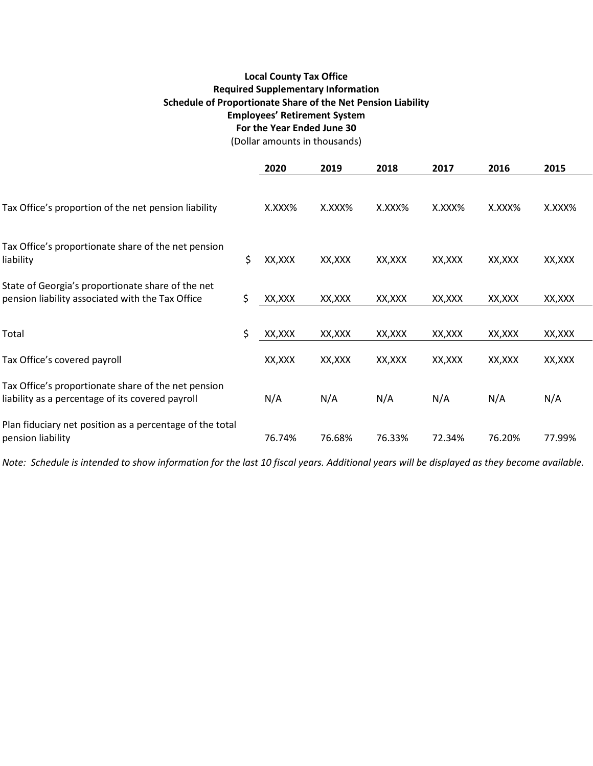# **Local County Tax Office Required Supplementary Information Schedule of Proportionate Share of the Net Pension Liability Employees' Retirement System For the Year Ended June 30**

(Dollar amounts in thousands)

|                                                                                                         | 2020          | 2019    | 2018    | 2017    | 2016    | 2015    |
|---------------------------------------------------------------------------------------------------------|---------------|---------|---------|---------|---------|---------|
| Tax Office's proportion of the net pension liability                                                    | X.XXX%        | X.XXX%  | X.XXX%  | X.XXX%  | X.XXX%  | X.XXX%  |
| Tax Office's proportionate share of the net pension<br>liability                                        | \$<br>XX, XXX | XX, XXX | XX, XXX | XX, XXX | XX, XXX | XX, XXX |
| State of Georgia's proportionate share of the net<br>pension liability associated with the Tax Office   | \$<br>XX, XXX | XX, XXX | XX,XXX  | XX, XXX | XX, XXX | XX, XXX |
| Total                                                                                                   | \$<br>XX, XXX | XX, XXX | XX, XXX | XX, XXX | XX, XXX | XX, XXX |
| Tax Office's covered payroll                                                                            | XX, XXX       | XX, XXX | XX, XXX | XX, XXX | XX, XXX | XX, XXX |
| Tax Office's proportionate share of the net pension<br>liability as a percentage of its covered payroll | N/A           | N/A     | N/A     | N/A     | N/A     | N/A     |
| Plan fiduciary net position as a percentage of the total<br>pension liability                           | 76.74%        | 76.68%  | 76.33%  | 72.34%  | 76.20%  | 77.99%  |

*Note: Schedule is intended to show information for the last 10 fiscal years. Additional years will be displayed as they become available.*